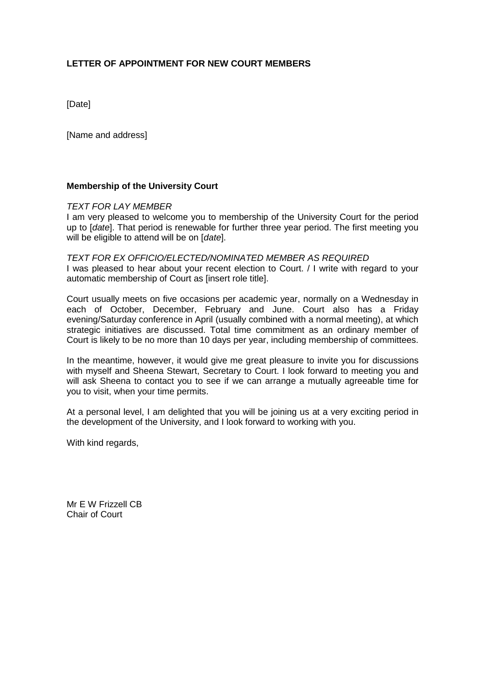## **LETTER OF APPOINTMENT FOR NEW COURT MEMBERS**

[Date]

[Name and address]

## **Membership of the University Court**

## *TEXT FOR LAY MEMBER*

I am very pleased to welcome you to membership of the University Court for the period up to [*date*]. That period is renewable for further three year period. The first meeting you will be eligible to attend will be on [*date*].

*TEXT FOR EX OFFICIO/ELECTED/NOMINATED MEMBER AS REQUIRED* I was pleased to hear about your recent election to Court. / I write with regard to your automatic membership of Court as [insert role title].

Court usually meets on five occasions per academic year, normally on a Wednesday in each of October, December, February and June. Court also has a Friday evening/Saturday conference in April (usually combined with a normal meeting), at which strategic initiatives are discussed. Total time commitment as an ordinary member of Court is likely to be no more than 10 days per year, including membership of committees.

In the meantime, however, it would give me great pleasure to invite you for discussions with myself and Sheena Stewart, Secretary to Court. I look forward to meeting you and will ask Sheena to contact you to see if we can arrange a mutually agreeable time for you to visit, when your time permits.

At a personal level, I am delighted that you will be joining us at a very exciting period in the development of the University, and I look forward to working with you.

With kind regards,

Mr F W Frizzell CB Chair of Court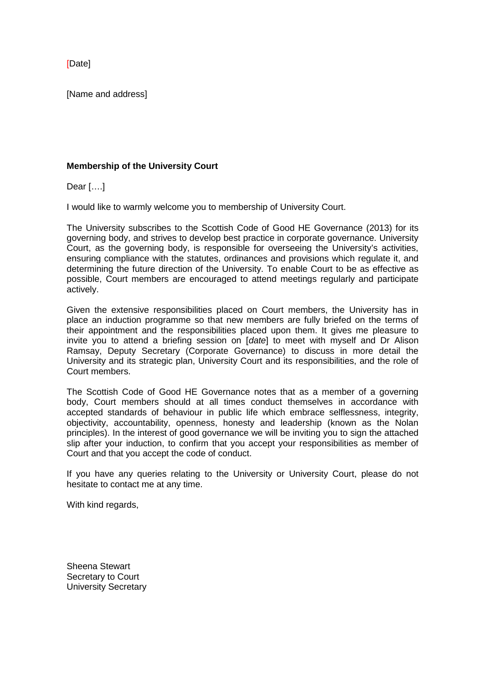[Date]

[Name and address]

## **Membership of the University Court**

Dear [….]

I would like to warmly welcome you to membership of University Court.

The University subscribes to the Scottish Code of Good HE Governance (2013) for its governing body, and strives to develop best practice in corporate governance. University Court, as the governing body, is responsible for overseeing the University's activities, ensuring compliance with the statutes, ordinances and provisions which regulate it, and determining the future direction of the University. To enable Court to be as effective as possible, Court members are encouraged to attend meetings regularly and participate actively.

Given the extensive responsibilities placed on Court members, the University has in place an induction programme so that new members are fully briefed on the terms of their appointment and the responsibilities placed upon them. It gives me pleasure to invite you to attend a briefing session on [*date*] to meet with myself and Dr Alison Ramsay, Deputy Secretary (Corporate Governance) to discuss in more detail the University and its strategic plan, University Court and its responsibilities, and the role of Court members.

The Scottish Code of Good HE Governance notes that as a member of a governing body, Court members should at all times conduct themselves in accordance with accepted standards of behaviour in public life which embrace selflessness, integrity, objectivity, accountability, openness, honesty and leadership (known as the Nolan principles). In the interest of good governance we will be inviting you to sign the attached slip after your induction, to confirm that you accept your responsibilities as member of Court and that you accept the code of conduct.

If you have any queries relating to the University or University Court, please do not hesitate to contact me at any time.

With kind regards,

Sheena Stewart Secretary to Court University Secretary